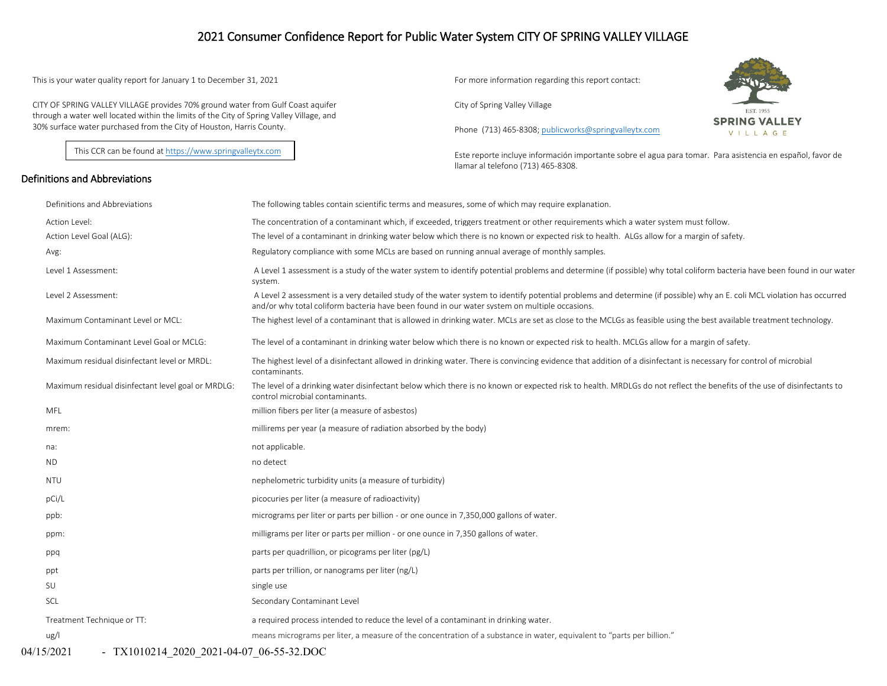## 2021 Consumer Confidence Report for Public Water System CITY OF SPRING VALLEY VILLAGE

This is your water quality report for January 1 to December 31, 2021 For more information regarding this report contact:

CITY OF SPRING VALLEY VILLAGE provides 70% ground water from Gulf Coast aquifer through a water well located within the limits of the City of Spring Valley Village, and 30% surface water purchased from the City of Houston, Harris County.

This CCR can be found a[t https://www.springvalleytx.com](https://www.springvalleytx.com/)

#### Definitions and Abbreviations

City of Spring Valley Village

Phone (713) 465-8308[; publicworks@springvalleytx.com](mailto:publicworks@springvalleytx.com)



Este reporte incluye información importante sobre el agua para tomar. Para asistencia en español, favor de llamar al telefono (713) 465-8308.

| Definitions and Abbreviations                      | The following tables contain scientific terms and measures, some of which may require explanation.                                                                                                                                                                      |
|----------------------------------------------------|-------------------------------------------------------------------------------------------------------------------------------------------------------------------------------------------------------------------------------------------------------------------------|
| Action Level:                                      | The concentration of a contaminant which, if exceeded, triggers treatment or other requirements which a water system must follow.                                                                                                                                       |
| Action Level Goal (ALG):                           | The level of a contaminant in drinking water below which there is no known or expected risk to health. ALGs allow for a margin of safety.                                                                                                                               |
| Avg:                                               | Regulatory compliance with some MCLs are based on running annual average of monthly samples.                                                                                                                                                                            |
| Level 1 Assessment:                                | A Level 1 assessment is a study of the water system to identify potential problems and determine (if possible) why total coliform bacteria have been found in our water<br>system.                                                                                      |
| Level 2 Assessment:                                | A Level 2 assessment is a very detailed study of the water system to identify potential problems and determine (if possible) why an E. coli MCL violation has occurred<br>and/or why total coliform bacteria have been found in our water system on multiple occasions. |
| Maximum Contaminant Level or MCL:                  | The highest level of a contaminant that is allowed in drinking water. MCLs are set as close to the MCLGs as feasible using the best available treatment technology.                                                                                                     |
| Maximum Contaminant Level Goal or MCLG:            | The level of a contaminant in drinking water below which there is no known or expected risk to health. MCLGs allow for a margin of safety.                                                                                                                              |
| Maximum residual disinfectant level or MRDL:       | The highest level of a disinfectant allowed in drinking water. There is convincing evidence that addition of a disinfectant is necessary for control of microbial<br>contaminants.                                                                                      |
| Maximum residual disinfectant level goal or MRDLG: | The level of a drinking water disinfectant below which there is no known or expected risk to health. MRDLGs do not reflect the benefits of the use of disinfectants to<br>control microbial contaminants.                                                               |
| MFL                                                | million fibers per liter (a measure of asbestos)                                                                                                                                                                                                                        |
| mrem:                                              | millirems per year (a measure of radiation absorbed by the body)                                                                                                                                                                                                        |
| na:                                                | not applicable.                                                                                                                                                                                                                                                         |
| ND.                                                | no detect                                                                                                                                                                                                                                                               |
| <b>NTU</b>                                         | nephelometric turbidity units (a measure of turbidity)                                                                                                                                                                                                                  |
| pCi/L                                              | picocuries per liter (a measure of radioactivity)                                                                                                                                                                                                                       |
| ppb:                                               | micrograms per liter or parts per billion - or one ounce in 7,350,000 gallons of water.                                                                                                                                                                                 |
| ppm:                                               | milligrams per liter or parts per million - or one ounce in 7,350 gallons of water.                                                                                                                                                                                     |
| ppq                                                | parts per quadrillion, or picograms per liter (pg/L)                                                                                                                                                                                                                    |
| ppt                                                | parts per trillion, or nanograms per liter (ng/L)                                                                                                                                                                                                                       |
| SU                                                 | single use                                                                                                                                                                                                                                                              |
| SCL                                                | Secondary Contaminant Level                                                                                                                                                                                                                                             |
| Treatment Technique or TT:                         | a required process intended to reduce the level of a contaminant in drinking water.                                                                                                                                                                                     |
| ug/l                                               | means micrograms per liter, a measure of the concentration of a substance in water, equivalent to "parts per billion."                                                                                                                                                  |
|                                                    |                                                                                                                                                                                                                                                                         |

04/15/2021 - TX1010214 2020 2021-04-07 06-55-32.DOC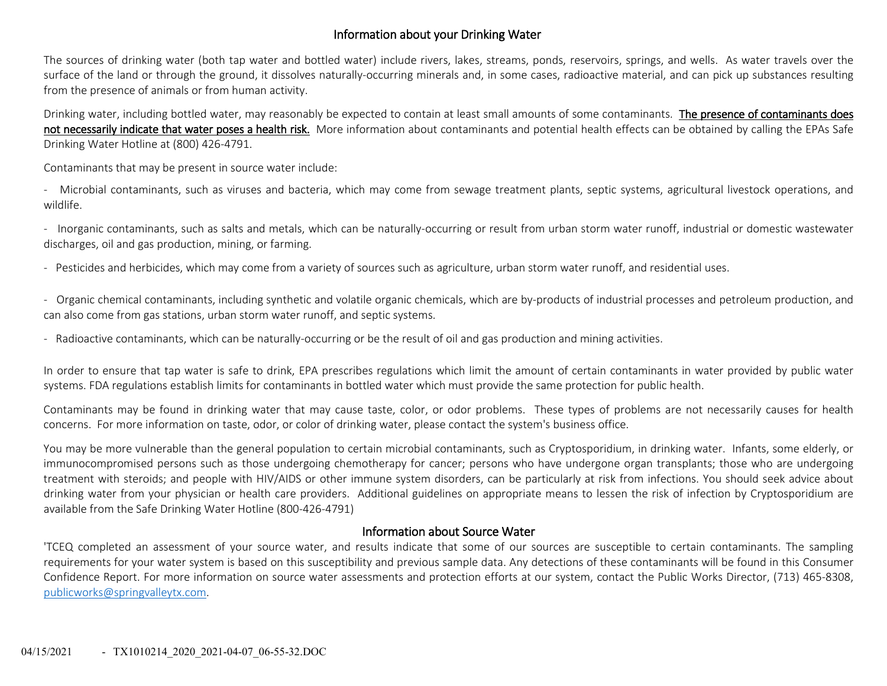## Information about your Drinking Water

The sources of drinking water (both tap water and bottled water) include rivers, lakes, streams, ponds, reservoirs, springs, and wells. As water travels over the surface of the land or through the ground, it dissolves naturally-occurring minerals and, in some cases, radioactive material, and can pick up substances resulting from the presence of animals or from human activity.

Drinking water, including bottled water, may reasonably be expected to contain at least small amounts of some contaminants. The presence of contaminants does not necessarily indicate that water poses a health risk. More information about contaminants and potential health effects can be obtained by calling the EPAs Safe Drinking Water Hotline at (800) 426-4791.

Contaminants that may be present in source water include:

- Microbial contaminants, such as viruses and bacteria, which may come from sewage treatment plants, septic systems, agricultural livestock operations, and wildlife.

- Inorganic contaminants, such as salts and metals, which can be naturally-occurring or result from urban storm water runoff, industrial or domestic wastewater discharges, oil and gas production, mining, or farming.

- Pesticides and herbicides, which may come from a variety of sources such as agriculture, urban storm water runoff, and residential uses.

- Organic chemical contaminants, including synthetic and volatile organic chemicals, which are by-products of industrial processes and petroleum production, and can also come from gas stations, urban storm water runoff, and septic systems.

- Radioactive contaminants, which can be naturally-occurring or be the result of oil and gas production and mining activities.

In order to ensure that tap water is safe to drink, EPA prescribes regulations which limit the amount of certain contaminants in water provided by public water systems. FDA regulations establish limits for contaminants in bottled water which must provide the same protection for public health.

Contaminants may be found in drinking water that may cause taste, color, or odor problems. These types of problems are not necessarily causes for health concerns. For more information on taste, odor, or color of drinking water, please contact the system's business office.

You may be more vulnerable than the general population to certain microbial contaminants, such as Cryptosporidium, in drinking water. Infants, some elderly, or immunocompromised persons such as those undergoing chemotherapy for cancer; persons who have undergone organ transplants; those who are undergoing treatment with steroids; and people with HIV/AIDS or other immune system disorders, can be particularly at risk from infections. You should seek advice about drinking water from your physician or health care providers. Additional guidelines on appropriate means to lessen the risk of infection by Cryptosporidium are available from the Safe Drinking Water Hotline (800-426-4791)

#### Information about Source Water

'TCEQ completed an assessment of your source water, and results indicate that some of our sources are susceptible to certain contaminants. The sampling requirements for your water system is based on this susceptibility and previous sample data. Any detections of these contaminants will be found in this Consumer Confidence Report. For more information on source water assessments and protection efforts at our system, contact the Public Works Director, (713) 465-8308, [publicworks@springvalleytx.com.](mailto:publicworks@springvalleytx.com)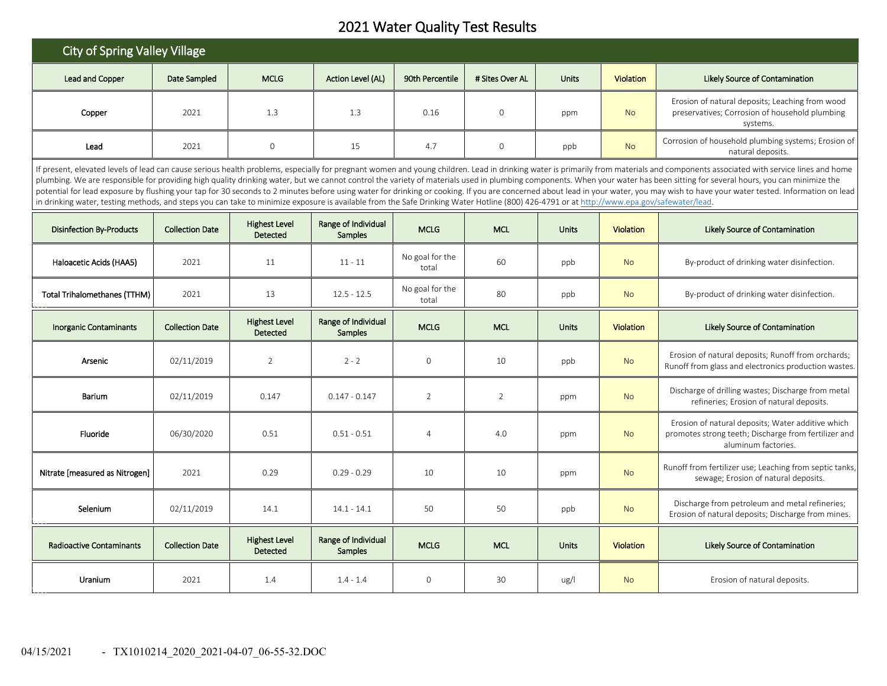# 2021 Water Quality Test Results

| <b>City of Spring Valley Village</b>                                                                                                                                                                                                                                                                                                                                                                                                                                                                                                                                                                                                                                                                                                                                                                                                                                                          |                        |                                  |                                       |                          |                 |                           |                  |                                                                                                                                  |  |  |  |
|-----------------------------------------------------------------------------------------------------------------------------------------------------------------------------------------------------------------------------------------------------------------------------------------------------------------------------------------------------------------------------------------------------------------------------------------------------------------------------------------------------------------------------------------------------------------------------------------------------------------------------------------------------------------------------------------------------------------------------------------------------------------------------------------------------------------------------------------------------------------------------------------------|------------------------|----------------------------------|---------------------------------------|--------------------------|-----------------|---------------------------|------------------|----------------------------------------------------------------------------------------------------------------------------------|--|--|--|
| <b>Lead and Copper</b>                                                                                                                                                                                                                                                                                                                                                                                                                                                                                                                                                                                                                                                                                                                                                                                                                                                                        | Date Sampled           | <b>MCLG</b>                      | Action Level (AL)                     | 90th Percentile          | # Sites Over AL | <b>Units</b>              |                  | Likely Source of Contamination                                                                                                   |  |  |  |
| Copper                                                                                                                                                                                                                                                                                                                                                                                                                                                                                                                                                                                                                                                                                                                                                                                                                                                                                        | 2021                   | 1.3                              | 1.3                                   | 0.16                     | $\mathbf 0$     | ppm                       | <b>No</b>        | Erosion of natural deposits; Leaching from wood<br>preservatives; Corrosion of household plumbing<br>systems.                    |  |  |  |
| Lead                                                                                                                                                                                                                                                                                                                                                                                                                                                                                                                                                                                                                                                                                                                                                                                                                                                                                          | 2021                   | $\mathsf{O}\xspace$              | 15                                    | 4.7                      | 0               | ppb                       | <b>No</b>        | Corrosion of household plumbing systems; Erosion of<br>natural deposits.                                                         |  |  |  |
| If present, elevated levels of lead can cause serious health problems, especially for pregnant women and young children. Lead in drinking water is primarily from materials and components associated with service lines and h<br>plumbing. We are responsible for providing high quality drinking water, but we cannot control the variety of materials used in plumbing components. When your water has been sitting for several hours, you can minimize the<br>potential for lead exposure by flushing your tap for 30 seconds to 2 minutes before using water for drinking or cooking. If you are concerned about lead in your water, you may wish to have your water tested. Information on<br>in drinking water, testing methods, and steps you can take to minimize exposure is available from the Safe Drinking Water Hotline (800) 426-4791 or at http://www.epa.gov/safewater/lead. |                        |                                  |                                       |                          |                 |                           |                  |                                                                                                                                  |  |  |  |
| <b>Disinfection By-Products</b>                                                                                                                                                                                                                                                                                                                                                                                                                                                                                                                                                                                                                                                                                                                                                                                                                                                               | <b>Collection Date</b> | <b>Highest Level</b><br>Detected | Range of Individual<br><b>Samples</b> | <b>MCLG</b>              | <b>MCL</b>      | <b>Units</b>              | <b>Violation</b> | Likely Source of Contamination                                                                                                   |  |  |  |
| Haloacetic Acids (HAA5)                                                                                                                                                                                                                                                                                                                                                                                                                                                                                                                                                                                                                                                                                                                                                                                                                                                                       | 2021                   | 11                               | $11 - 11$                             | No goal for the<br>total | 60              | ppb                       |                  | By-product of drinking water disinfection.                                                                                       |  |  |  |
| <b>Total Trihalomethanes (TTHM)</b>                                                                                                                                                                                                                                                                                                                                                                                                                                                                                                                                                                                                                                                                                                                                                                                                                                                           | 2021                   | 13                               | $12.5 - 12.5$                         | No goal for the<br>total | 80              | ppb                       |                  | By-product of drinking water disinfection.                                                                                       |  |  |  |
| <b>Inorganic Contaminants</b>                                                                                                                                                                                                                                                                                                                                                                                                                                                                                                                                                                                                                                                                                                                                                                                                                                                                 | <b>Collection Date</b> | <b>Highest Level</b><br>Detected | Range of Individual<br><b>Samples</b> | <b>MCLG</b>              | <b>MCL</b>      | Units<br><b>Violation</b> |                  | Likely Source of Contamination                                                                                                   |  |  |  |
| Arsenic                                                                                                                                                                                                                                                                                                                                                                                                                                                                                                                                                                                                                                                                                                                                                                                                                                                                                       | 02/11/2019             | $\overline{2}$                   | $2 - 2$                               | $\mathsf{O}\xspace$      | 10              | ppb                       | <b>No</b>        | Erosion of natural deposits; Runoff from orchards;<br>Runoff from glass and electronics production wastes                        |  |  |  |
| Barium                                                                                                                                                                                                                                                                                                                                                                                                                                                                                                                                                                                                                                                                                                                                                                                                                                                                                        | 02/11/2019             | 0.147                            | $0.147 - 0.147$                       | $\overline{2}$           | 2               | ppm                       | <b>No</b>        | Discharge of drilling wastes; Discharge from metal<br>refineries: Erosion of natural deposits.                                   |  |  |  |
| Fluoride                                                                                                                                                                                                                                                                                                                                                                                                                                                                                                                                                                                                                                                                                                                                                                                                                                                                                      | 06/30/2020             | 0.51                             | $0.51 - 0.51$                         | $\overline{4}$           | 4.0             | ppm                       | <b>No</b>        | Erosion of natural deposits; Water additive which<br>promotes strong teeth; Discharge from fertilizer and<br>aluminum factories. |  |  |  |
| Nitrate [measured as Nitrogen]                                                                                                                                                                                                                                                                                                                                                                                                                                                                                                                                                                                                                                                                                                                                                                                                                                                                | 2021                   | 0.29                             | $0.29 - 0.29$                         | 10                       | 10              | ppm                       | <b>No</b>        | Runoff from fertilizer use; Leaching from septic tanks,<br>sewage; Erosion of natural deposits.                                  |  |  |  |
| Selenium                                                                                                                                                                                                                                                                                                                                                                                                                                                                                                                                                                                                                                                                                                                                                                                                                                                                                      | 02/11/2019             | 14.1                             | $14.1 - 14.1$                         | 50                       | 50              | ppb                       | <b>No</b>        | Discharge from petroleum and metal refineries;<br>Erosion of natural deposits; Discharge from mines.                             |  |  |  |
| <b>Radioactive Contaminants</b>                                                                                                                                                                                                                                                                                                                                                                                                                                                                                                                                                                                                                                                                                                                                                                                                                                                               | <b>Collection Date</b> | <b>Highest Level</b><br>Detected | Range of Individual<br><b>Samples</b> | <b>MCLG</b>              | <b>MCL</b>      | <b>Units</b>              | <b>Violation</b> | Likely Source of Contamination                                                                                                   |  |  |  |
| Uranium                                                                                                                                                                                                                                                                                                                                                                                                                                                                                                                                                                                                                                                                                                                                                                                                                                                                                       | 2021                   | 1.4                              | $1.4 - 1.4$                           | $\mathbf 0$              | 30              | ug/l                      | <b>No</b>        | Erosion of natural deposits.                                                                                                     |  |  |  |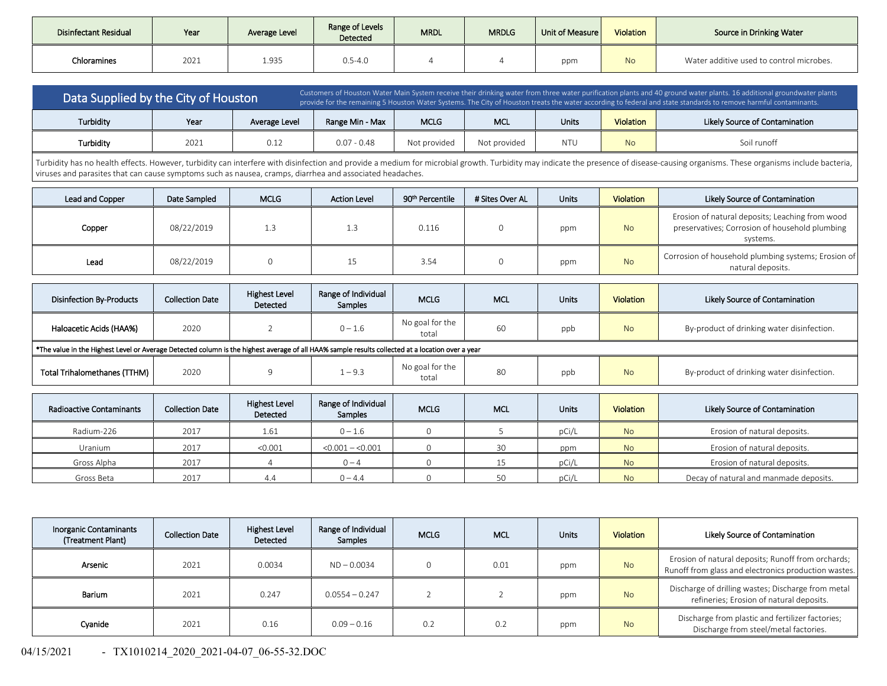| Disinfectant Residual | Year | Average Level | Range of Levels<br>Detected | <b>MRDL</b> | <b>MRDLG</b> | Unit of Measure | Violation | Source in Drinking Water                 |
|-----------------------|------|---------------|-----------------------------|-------------|--------------|-----------------|-----------|------------------------------------------|
| Chloramines           | 2021 | 1.935         | $0.5 - 4.0$                 |             |              | ppm             | <b>No</b> | Water additive used to control microbes. |

| Data Supplied by the City of Houston |      |               | Customers of Houston Water Main System receive their drinking water from three water purification plants and 40 ground water plants. 16 additional groundwater plants<br>provide for the remaining 5 Houston Water Systems. The City of Houston treats the water according to federal and state standards to remove harmful contaminants. |              |              |            |                  |                                |
|--------------------------------------|------|---------------|-------------------------------------------------------------------------------------------------------------------------------------------------------------------------------------------------------------------------------------------------------------------------------------------------------------------------------------------|--------------|--------------|------------|------------------|--------------------------------|
| Turbidity                            | Year | Average Level | <b>MCLG</b><br>Range Min - Max                                                                                                                                                                                                                                                                                                            |              | MCL          | Units      | <b>Violation</b> | Likely Source of Contamination |
| Turbidity                            | 2021 | 0.12          | $0.07 - 0.48$                                                                                                                                                                                                                                                                                                                             | Not provided | Not provided | <b>NTU</b> | N <sub>o</sub>   | Soil runoff                    |

Turbidity has no health effects. However, turbidity can interfere with disinfection and provide a medium for microbial growth. Turbidity may indicate the presence of disease-causing organisms. These organisms include bacte viruses and parasites that can cause symptoms such as nausea, cramps, diarrhea and associated headaches.

| Lead and Copper                                                                                                                                  | Date Sampled           | <b>MCLG</b>                      | <b>Action Level</b>            | 90 <sup>th</sup> Percentile | # Sites Over AL | <b>Units</b> | <b>Violation</b> | Likely Source of Contamination                                                                                |
|--------------------------------------------------------------------------------------------------------------------------------------------------|------------------------|----------------------------------|--------------------------------|-----------------------------|-----------------|--------------|------------------|---------------------------------------------------------------------------------------------------------------|
| Copper                                                                                                                                           | 08/22/2019             | 1.3                              | 1.3                            | 0.116                       | $\mathbf{0}$    | ppm          | <b>No</b>        | Erosion of natural deposits; Leaching from wood<br>preservatives; Corrosion of household plumbing<br>systems. |
| Lead                                                                                                                                             | 08/22/2019             | $\mathbf 0$                      | 15                             | 3.54<br>$\mathbf 0$         |                 | ppm          | <b>No</b>        | Corrosion of household plumbing systems; Erosion of<br>natural deposits.                                      |
|                                                                                                                                                  |                        |                                  |                                |                             |                 |              |                  |                                                                                                               |
| <b>Disinfection By-Products</b>                                                                                                                  | <b>Collection Date</b> | <b>Highest Level</b><br>Detected | Range of Individual<br>Samples | <b>MCLG</b>                 | <b>MCL</b>      |              | <b>Violation</b> | Likely Source of Contamination                                                                                |
| Haloacetic Acids (HAA%)                                                                                                                          | 2020                   | $\overline{2}$                   | $0 - 1.6$                      | No goal for the<br>total    | 60              | ppb          | <b>No</b>        | By-product of drinking water disinfection.                                                                    |
| *The value in the Highest Level or Average Detected column is the highest average of all HAA% sample results collected at a location over a year |                        |                                  |                                |                             |                 |              |                  |                                                                                                               |
| <b>Total Trihalomethanes (TTHM)</b>                                                                                                              | 2020                   | 9                                | $1 - 9.3$                      | No goal for the<br>total    | 80              | ppb          | <b>No</b>        | By-product of drinking water disinfection.                                                                    |
|                                                                                                                                                  |                        |                                  |                                |                             |                 |              |                  |                                                                                                               |
| <b>Radioactive Contaminants</b>                                                                                                                  | <b>Collection Date</b> | <b>Highest Level</b><br>Detected | Range of Individual<br>Samples | <b>MCLG</b>                 | MCL             | <b>Units</b> | Violation        | Likely Source of Contamination                                                                                |
| Radium-226                                                                                                                                       | 2017                   | 1 <sub>61</sub>                  | $0 - 16$                       | $\cap$                      |                 | nC1/l        | $N_{\Omega}$     | Erosion of natural denosits                                                                                   |

| Radium-226  | 2017 | T.pT    | $0 - 1$<br>. L. C |  | pCi/ | <b>No</b>      | Erosion of natural deposits.           |
|-------------|------|---------|-------------------|--|------|----------------|----------------------------------------|
| Uranium     | 2017 | < 0.001 | $< 0.001 - 0.001$ |  | ppm  | <b>No</b>      | Erosion of natural deposits.           |
| Gross Alpha | 2017 |         | $0 - 4$           |  | pCi, | <b>No</b>      | Erosion of natural deposits.           |
| Gross Beta  | 2017 |         | $0 - 4.4$         |  | pCi, | N <sub>o</sub> | Decay of natural and manmade deposits. |

| <b>Inorganic Contaminants</b><br>(Treatment Plant) | <b>Collection Date</b> | <b>Highest Level</b><br>Detected | Range of Individual<br>Samples | <b>MCLG</b> | <b>MCL</b> | <b>Units</b> | <b>Violation</b> | Likely Source of Contamination                                                                             |
|----------------------------------------------------|------------------------|----------------------------------|--------------------------------|-------------|------------|--------------|------------------|------------------------------------------------------------------------------------------------------------|
| Arsenic                                            | 2021                   | 0.0034                           | $ND - 0.0034$                  |             | 0.01       | ppm          | <b>No</b>        | Erosion of natural deposits; Runoff from orchards;<br>Runoff from glass and electronics production wastes. |
| Barium                                             | 2021                   | 0.247                            | $0.0554 - 0.247$               |             |            | ppm          | <b>No</b>        | Discharge of drilling wastes; Discharge from metal<br>refineries; Erosion of natural deposits.             |
| Cvanide                                            | 2021                   | 0.16                             | $0.09 - 0.16$                  | 0.2         | 0.2        | ppm          | <b>No</b>        | Discharge from plastic and fertilizer factories;<br>Discharge from steel/metal factories.                  |